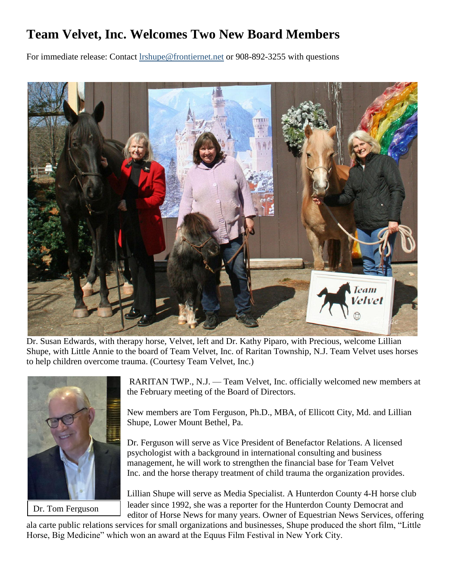## **Team Velvet, Inc. Welcomes Two New Board Members**

For immediate release: Contact [lrshupe@frontiernet.net](mailto:lrshupe@frontiernet.net) or 908-892-3255 with questions



Dr. Susan Edwards, with therapy horse, Velvet, left and Dr. Kathy Piparo, with Precious, welcome Lillian Shupe, with Little Annie to the board of Team Velvet, Inc. of Raritan Township, N.J. Team Velvet uses horses to help children overcome trauma. (Courtesy Team Velvet, Inc.)



Dr. Tom Ferguson

RARITAN TWP., N.J. — Team Velvet, Inc. officially welcomed new members at the February meeting of the Board of Directors.

New members are Tom Ferguson, Ph.D., MBA, of Ellicott City, Md. and Lillian Shupe, Lower Mount Bethel, Pa.

Dr. Ferguson will serve as Vice President of Benefactor Relations. A licensed psychologist with a background in international consulting and business management, he will work to strengthen the financial base for Team Velvet Inc. and the horse therapy treatment of child trauma the organization provides.

Lillian Shupe will serve as Media Specialist. A Hunterdon County 4-H horse club leader since 1992, she was a reporter for the Hunterdon County Democrat and editor of Horse News for many years. Owner of Equestrian News Services, offering

ala carte public relations services for small organizations and businesses, Shupe produced the short film, "Little Horse, Big Medicine" which won an award at the Equus Film Festival in New York City.